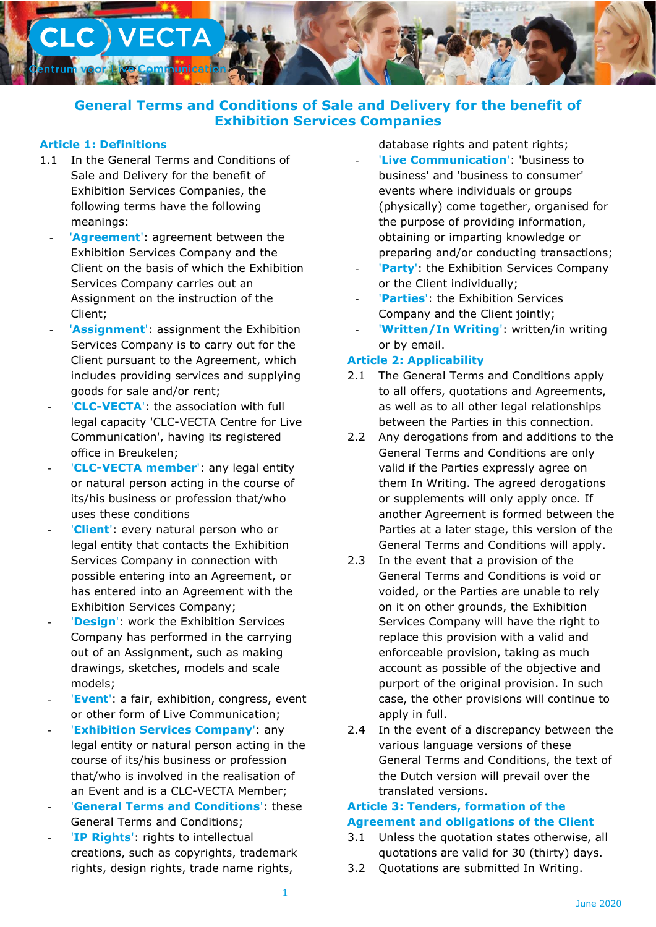

# **General Terms and Conditions of Sale and Delivery for the benefit of Exhibition Services Companies**

### **Article 1: Definitions**

- 1.1 In the General Terms and Conditions of Sale and Delivery for the benefit of Exhibition Services Companies, the following terms have the following meanings:
	- '**Agreement**': agreement between the Exhibition Services Company and the Client on the basis of which the Exhibition Services Company carries out an Assignment on the instruction of the Client;
	- 'Assignment': assignment the Exhibition Services Company is to carry out for the Client pursuant to the Agreement, which includes providing services and supplying goods for sale and/or rent;
	- '**CLC-VECTA**': the association with full legal capacity 'CLC-VECTA Centre for Live Communication', having its registered office in Breukelen;
	- '**CLC-VECTA member':** any legal entity or natural person acting in the course of its/his business or profession that/who uses these conditions
	- '**Client**': every natural person who or legal entity that contacts the Exhibition Services Company in connection with possible entering into an Agreement, or has entered into an Agreement with the Exhibition Services Company;
	- 'Design': work the Exhibition Services Company has performed in the carrying out of an Assignment, such as making drawings, sketches, models and scale models;
	- 'Event': a fair, exhibition, congress, event or other form of Live Communication;
	- **'Exhibition Services Company': any** legal entity or natural person acting in the course of its/his business or profession that/who is involved in the realisation of an Event and is a CLC-VECTA Member;
	- **'General Terms and Conditions': these** General Terms and Conditions;
	- '**IP Rights':** rights to intellectual creations, such as copyrights, trademark rights, design rights, trade name rights,

database rights and patent rights;

- 'Live Communication': 'business to business' and 'business to consumer' events where individuals or groups (physically) come together, organised for the purpose of providing information, obtaining or imparting knowledge or preparing and/or conducting transactions;
- 'Party': the Exhibition Services Company or the Client individually;
- 'Parties': the Exhibition Services Company and the Client jointly;
- 'Written/In Writing': written/in writing or by email.

### **Article 2: Applicability**

- 2.1 The General Terms and Conditions apply to all offers, quotations and Agreements, as well as to all other legal relationships between the Parties in this connection.
- 2.2 Any derogations from and additions to the General Terms and Conditions are only valid if the Parties expressly agree on them In Writing. The agreed derogations or supplements will only apply once. If another Agreement is formed between the Parties at a later stage, this version of the General Terms and Conditions will apply.
- 2.3 In the event that a provision of the General Terms and Conditions is void or voided, or the Parties are unable to rely on it on other grounds, the Exhibition Services Company will have the right to replace this provision with a valid and enforceable provision, taking as much account as possible of the objective and purport of the original provision. In such case, the other provisions will continue to apply in full.
- 2.4 In the event of a discrepancy between the various language versions of these General Terms and Conditions, the text of the Dutch version will prevail over the translated versions.

### **Article 3: Tenders, formation of the Agreement and obligations of the Client**

- 3.1 Unless the quotation states otherwise, all quotations are valid for 30 (thirty) days.
- 3.2 Quotations are submitted In Writing.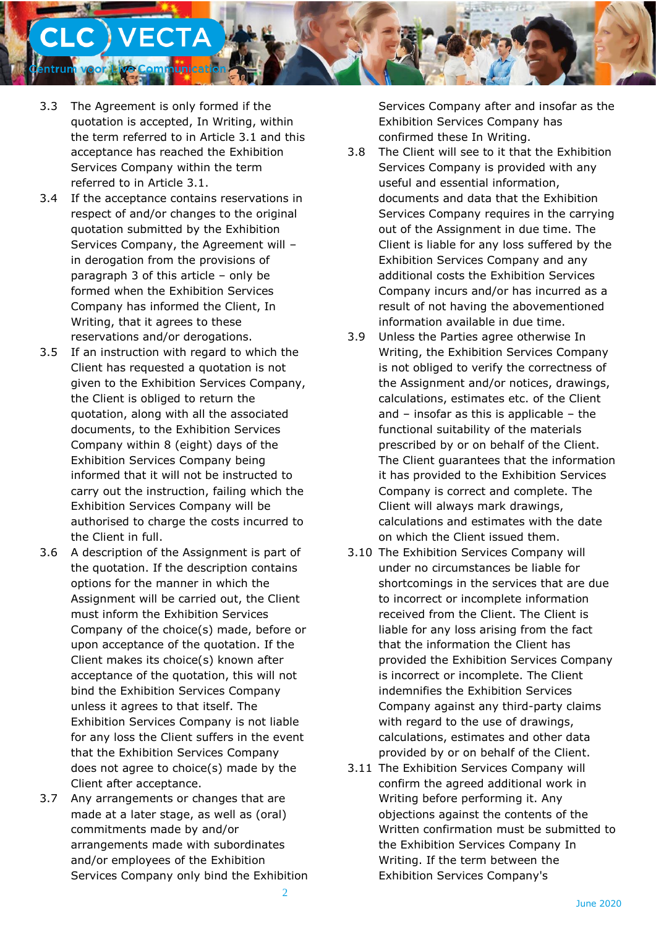

- 3.3 The Agreement is only formed if the quotation is accepted, In Writing, within the term referred to in Article 3.1 and this acceptance has reached the Exhibition Services Company within the term referred to in Article 3.1.
- 3.4 If the acceptance contains reservations in respect of and/or changes to the original quotation submitted by the Exhibition Services Company, the Agreement will – in derogation from the provisions of paragraph 3 of this article – only be formed when the Exhibition Services Company has informed the Client, In Writing, that it agrees to these reservations and/or derogations.
- 3.5 If an instruction with regard to which the Client has requested a quotation is not given to the Exhibition Services Company, the Client is obliged to return the quotation, along with all the associated documents, to the Exhibition Services Company within 8 (eight) days of the Exhibition Services Company being informed that it will not be instructed to carry out the instruction, failing which the Exhibition Services Company will be authorised to charge the costs incurred to the Client in full.
- 3.6 A description of the Assignment is part of the quotation. If the description contains options for the manner in which the Assignment will be carried out, the Client must inform the Exhibition Services Company of the choice(s) made, before or upon acceptance of the quotation. If the Client makes its choice(s) known after acceptance of the quotation, this will not bind the Exhibition Services Company unless it agrees to that itself. The Exhibition Services Company is not liable for any loss the Client suffers in the event that the Exhibition Services Company does not agree to choice(s) made by the Client after acceptance.
- 3.7 Any arrangements or changes that are made at a later stage, as well as (oral) commitments made by and/or arrangements made with subordinates and/or employees of the Exhibition Services Company only bind the Exhibition

Services Company after and insofar as the Exhibition Services Company has confirmed these In Writing.

- 3.8 The Client will see to it that the Exhibition Services Company is provided with any useful and essential information, documents and data that the Exhibition Services Company requires in the carrying out of the Assignment in due time. The Client is liable for any loss suffered by the Exhibition Services Company and any additional costs the Exhibition Services Company incurs and/or has incurred as a result of not having the abovementioned information available in due time.
- 3.9 Unless the Parties agree otherwise In Writing, the Exhibition Services Company is not obliged to verify the correctness of the Assignment and/or notices, drawings, calculations, estimates etc. of the Client and – insofar as this is applicable – the functional suitability of the materials prescribed by or on behalf of the Client. The Client guarantees that the information it has provided to the Exhibition Services Company is correct and complete. The Client will always mark drawings, calculations and estimates with the date on which the Client issued them.
- 3.10 The Exhibition Services Company will under no circumstances be liable for shortcomings in the services that are due to incorrect or incomplete information received from the Client. The Client is liable for any loss arising from the fact that the information the Client has provided the Exhibition Services Company is incorrect or incomplete. The Client indemnifies the Exhibition Services Company against any third-party claims with regard to the use of drawings, calculations, estimates and other data provided by or on behalf of the Client.
- 3.11 The Exhibition Services Company will confirm the agreed additional work in Writing before performing it. Any objections against the contents of the Written confirmation must be submitted to the Exhibition Services Company In Writing. If the term between the Exhibition Services Company's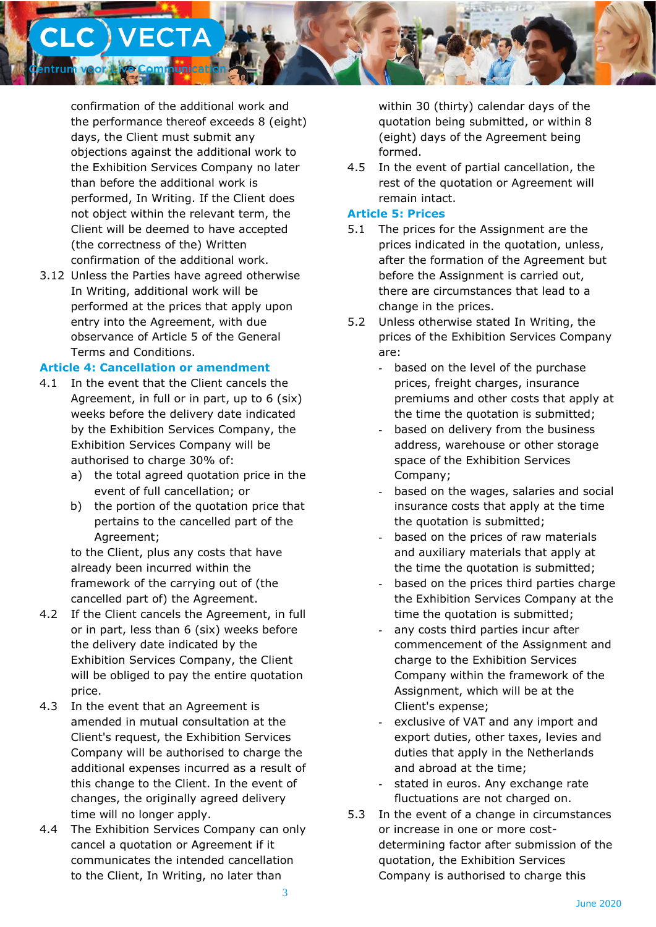

confirmation of the additional work and the performance thereof exceeds 8 (eight) days, the Client must submit any objections against the additional work to the Exhibition Services Company no later than before the additional work is performed, In Writing. If the Client does not object within the relevant term, the Client will be deemed to have accepted (the correctness of the) Written confirmation of the additional work.

3.12 Unless the Parties have agreed otherwise In Writing, additional work will be performed at the prices that apply upon entry into the Agreement, with due observance of Article 5 of the General Terms and Conditions.

#### **Article 4: Cancellation or amendment**

- 4.1 In the event that the Client cancels the Agreement, in full or in part, up to 6 (six) weeks before the delivery date indicated by the Exhibition Services Company, the Exhibition Services Company will be authorised to charge 30% of:
	- a) the total agreed quotation price in the event of full cancellation; or
	- b) the portion of the quotation price that pertains to the cancelled part of the Agreement;

to the Client, plus any costs that have already been incurred within the framework of the carrying out of (the cancelled part of) the Agreement.

- 4.2 If the Client cancels the Agreement, in full or in part, less than 6 (six) weeks before the delivery date indicated by the Exhibition Services Company, the Client will be obliged to pay the entire quotation price.
- 4.3 In the event that an Agreement is amended in mutual consultation at the Client's request, the Exhibition Services Company will be authorised to charge the additional expenses incurred as a result of this change to the Client. In the event of changes, the originally agreed delivery time will no longer apply.
- 4.4 The Exhibition Services Company can only cancel a quotation or Agreement if it communicates the intended cancellation to the Client, In Writing, no later than

within 30 (thirty) calendar days of the quotation being submitted, or within 8 (eight) days of the Agreement being formed.

4.5 In the event of partial cancellation, the rest of the quotation or Agreement will remain intact.

### **Article 5: Prices**

- 5.1 The prices for the Assignment are the prices indicated in the quotation, unless, after the formation of the Agreement but before the Assignment is carried out, there are circumstances that lead to a change in the prices.
- 5.2 Unless otherwise stated In Writing, the prices of the Exhibition Services Company are:
	- based on the level of the purchase prices, freight charges, insurance premiums and other costs that apply at the time the quotation is submitted;
	- based on delivery from the business address, warehouse or other storage space of the Exhibition Services Company;
	- based on the wages, salaries and social insurance costs that apply at the time the quotation is submitted;
	- based on the prices of raw materials and auxiliary materials that apply at the time the quotation is submitted;
	- based on the prices third parties charge the Exhibition Services Company at the time the quotation is submitted;
	- any costs third parties incur after commencement of the Assignment and charge to the Exhibition Services Company within the framework of the Assignment, which will be at the Client's expense;
	- exclusive of VAT and any import and export duties, other taxes, levies and duties that apply in the Netherlands and abroad at the time;
	- stated in euros. Any exchange rate fluctuations are not charged on.
- 5.3 In the event of a change in circumstances or increase in one or more costdetermining factor after submission of the quotation, the Exhibition Services Company is authorised to charge this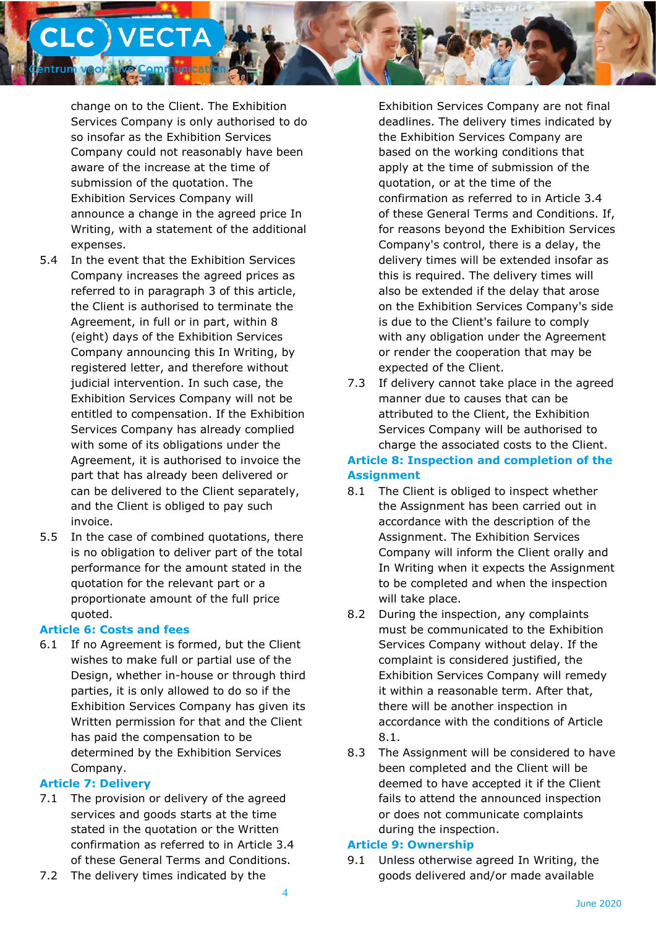

change on to the Client. The Exhibition Services Company is only authorised to do so insofar as the Exhibition Services Company could not reasonably have been aware of the increase at the time of submission of the quotation. The Exhibition Services Company will announce a change in the agreed price In Writing, with a statement of the additional expenses.

- 5.4 In the event that the Exhibition Services Company increases the agreed prices as referred to in paragraph 3 of this article, the Client is authorised to terminate the Agreement, in full or in part, within 8 (eight) days of the Exhibition Services Company announcing this In Writing, by registered letter, and therefore without judicial intervention. In such case, the Exhibition Services Company will not be entitled to compensation. If the Exhibition Services Company has already complied with some of its obligations under the Agreement, it is authorised to invoice the part that has already been delivered or can be delivered to the Client separately, and the Client is obliged to pay such invoice.
- 5.5 In the case of combined quotations, there is no obligation to deliver part of the total performance for the amount stated in the quotation for the relevant part or a proportionate amount of the full price quoted.

### **Article 6: Costs and fees**

6.1 If no Agreement is formed, but the Client wishes to make full or partial use of the Design, whether in-house or through third parties, it is only allowed to do so if the Exhibition Services Company has given its Written permission for that and the Client has paid the compensation to be determined by the Exhibition Services Company.

# **Article 7: Delivery**

- 7.1 The provision or delivery of the agreed services and goods starts at the time stated in the quotation or the Written confirmation as referred to in Article 3.4 of these General Terms and Conditions.
- 7.2 The delivery times indicated by the

Exhibition Services Company are not final deadlines. The delivery times indicated by the Exhibition Services Company are based on the working conditions that apply at the time of submission of the quotation, or at the time of the confirmation as referred to in Article 3.4 of these General Terms and Conditions. If, for reasons beyond the Exhibition Services Company's control, there is a delay, the delivery times will be extended insofar as this is required. The delivery times will also be extended if the delay that arose on the Exhibition Services Company's side is due to the Client's failure to comply with any obligation under the Agreement or render the cooperation that may be expected of the Client.

7.3 If delivery cannot take place in the agreed manner due to causes that can be attributed to the Client, the Exhibition Services Company will be authorised to charge the associated costs to the Client.

# **Article 8: Inspection and completion of the Assignment**

- 8.1 The Client is obliged to inspect whether the Assignment has been carried out in accordance with the description of the Assignment. The Exhibition Services Company will inform the Client orally and In Writing when it expects the Assignment to be completed and when the inspection will take place.
- 8.2 During the inspection, any complaints must be communicated to the Exhibition Services Company without delay. If the complaint is considered justified, the Exhibition Services Company will remedy it within a reasonable term. After that, there will be another inspection in accordance with the conditions of Article 8.1.
- 8.3 The Assignment will be considered to have been completed and the Client will be deemed to have accepted it if the Client fails to attend the announced inspection or does not communicate complaints during the inspection.

# **Article 9: Ownership**

9.1 Unless otherwise agreed In Writing, the goods delivered and/or made available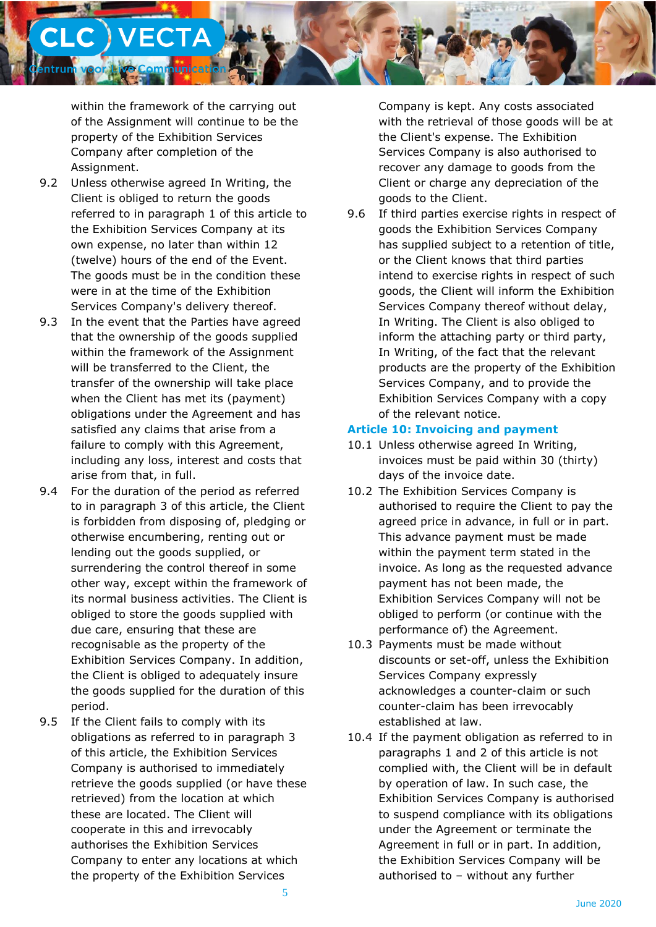

within the framework of the carrying out of the Assignment will continue to be the property of the Exhibition Services Company after completion of the Assignment.

- 9.2 Unless otherwise agreed In Writing, the Client is obliged to return the goods referred to in paragraph 1 of this article to the Exhibition Services Company at its own expense, no later than within 12 (twelve) hours of the end of the Event. The goods must be in the condition these were in at the time of the Exhibition Services Company's delivery thereof.
- 9.3 In the event that the Parties have agreed that the ownership of the goods supplied within the framework of the Assignment will be transferred to the Client, the transfer of the ownership will take place when the Client has met its (payment) obligations under the Agreement and has satisfied any claims that arise from a failure to comply with this Agreement, including any loss, interest and costs that arise from that, in full.
- 9.4 For the duration of the period as referred to in paragraph 3 of this article, the Client is forbidden from disposing of, pledging or otherwise encumbering, renting out or lending out the goods supplied, or surrendering the control thereof in some other way, except within the framework of its normal business activities. The Client is obliged to store the goods supplied with due care, ensuring that these are recognisable as the property of the Exhibition Services Company. In addition, the Client is obliged to adequately insure the goods supplied for the duration of this period.
- 9.5 If the Client fails to comply with its obligations as referred to in paragraph 3 of this article, the Exhibition Services Company is authorised to immediately retrieve the goods supplied (or have these retrieved) from the location at which these are located. The Client will cooperate in this and irrevocably authorises the Exhibition Services Company to enter any locations at which the property of the Exhibition Services

Company is kept. Any costs associated with the retrieval of those goods will be at the Client's expense. The Exhibition Services Company is also authorised to recover any damage to goods from the Client or charge any depreciation of the goods to the Client.

9.6 If third parties exercise rights in respect of goods the Exhibition Services Company has supplied subject to a retention of title, or the Client knows that third parties intend to exercise rights in respect of such goods, the Client will inform the Exhibition Services Company thereof without delay, In Writing. The Client is also obliged to inform the attaching party or third party, In Writing, of the fact that the relevant products are the property of the Exhibition Services Company, and to provide the Exhibition Services Company with a copy of the relevant notice.

### **Article 10: Invoicing and payment**

- 10.1 Unless otherwise agreed In Writing, invoices must be paid within 30 (thirty) days of the invoice date.
- 10.2 The Exhibition Services Company is authorised to require the Client to pay the agreed price in advance, in full or in part. This advance payment must be made within the payment term stated in the invoice. As long as the requested advance payment has not been made, the Exhibition Services Company will not be obliged to perform (or continue with the performance of) the Agreement.
- 10.3 Payments must be made without discounts or set-off, unless the Exhibition Services Company expressly acknowledges a counter-claim or such counter-claim has been irrevocably established at law.
- 10.4 If the payment obligation as referred to in paragraphs 1 and 2 of this article is not complied with, the Client will be in default by operation of law. In such case, the Exhibition Services Company is authorised to suspend compliance with its obligations under the Agreement or terminate the Agreement in full or in part. In addition, the Exhibition Services Company will be authorised to – without any further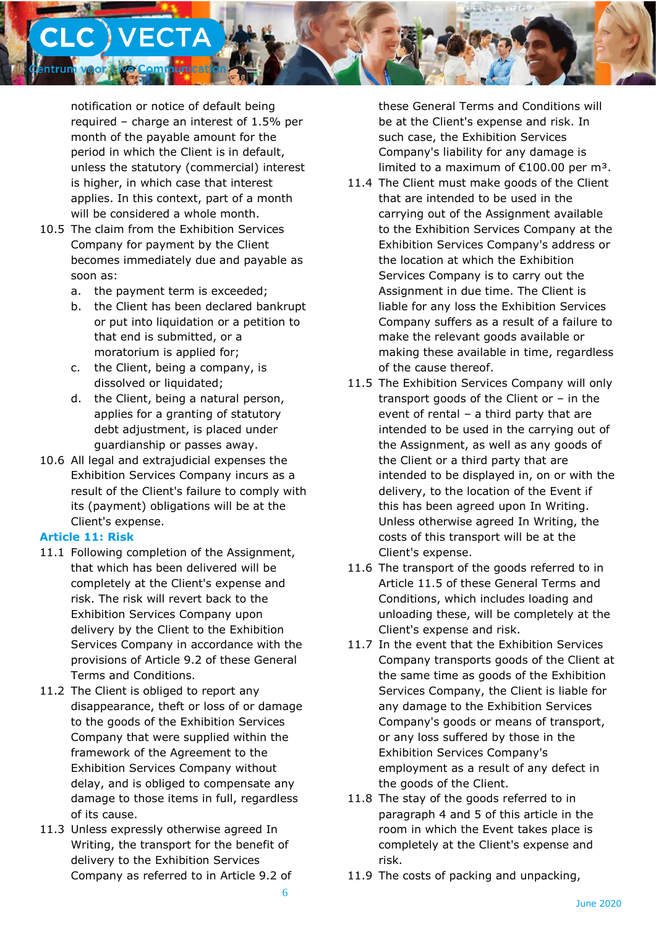

notification or notice of default being required – charge an interest of 1.5% per month of the payable amount for the period in which the Client is in default, unless the statutory (commercial) interest is higher, in which case that interest applies. In this context, part of a month will be considered a whole month.

- 10.5 The claim from the Exhibition Services Company for payment by the Client becomes immediately due and payable as soon as:
	- a. the payment term is exceeded;
	- b. the Client has been declared bankrupt or put into liquidation or a petition to that end is submitted, or a moratorium is applied for;
	- c. the Client, being a company, is dissolved or liquidated;
	- d. the Client, being a natural person, applies for a granting of statutory debt adjustment, is placed under guardianship or passes away.
- 10.6 All legal and extrajudicial expenses the Exhibition Services Company incurs as a result of the Client's failure to comply with its (payment) obligations will be at the Client's expense.

### **Article 11: Risk**

- 11.1 Following completion of the Assignment, that which has been delivered will be completely at the Client's expense and risk. The risk will revert back to the Exhibition Services Company upon delivery by the Client to the Exhibition Services Company in accordance with the provisions of Article 9.2 of these General Terms and Conditions.
- 11.2 The Client is obliged to report any disappearance, theft or loss of or damage to the goods of the Exhibition Services Company that were supplied within the framework of the Agreement to the Exhibition Services Company without delay, and is obliged to compensate any damage to those items in full, regardless of its cause.
- 11.3 Unless expressly otherwise agreed In Writing, the transport for the benefit of delivery to the Exhibition Services Company as referred to in Article 9.2 of

these General Terms and Conditions will be at the Client's expense and risk. In such case, the Exhibition Services Company's liability for any damage is limited to a maximum of  $£100.00$  per m<sup>3</sup>.

- 11.4 The Client must make goods of the Client that are intended to be used in the carrying out of the Assignment available to the Exhibition Services Company at the Exhibition Services Company's address or the location at which the Exhibition Services Company is to carry out the Assignment in due time. The Client is liable for any loss the Exhibition Services Company suffers as a result of a failure to make the relevant goods available or making these available in time, regardless of the cause thereof.
- 11.5 The Exhibition Services Company will only transport goods of the Client or – in the event of rental – a third party that are intended to be used in the carrying out of the Assignment, as well as any goods of the Client or a third party that are intended to be displayed in, on or with the delivery, to the location of the Event if this has been agreed upon In Writing. Unless otherwise agreed In Writing, the costs of this transport will be at the Client's expense.
- 11.6 The transport of the goods referred to in Article 11.5 of these General Terms and Conditions, which includes loading and unloading these, will be completely at the Client's expense and risk.
- 11.7 In the event that the Exhibition Services Company transports goods of the Client at the same time as goods of the Exhibition Services Company, the Client is liable for any damage to the Exhibition Services Company's goods or means of transport, or any loss suffered by those in the Exhibition Services Company's employment as a result of any defect in the goods of the Client.
- 11.8 The stay of the goods referred to in paragraph 4 and 5 of this article in the room in which the Event takes place is completely at the Client's expense and risk.
- 11.9 The costs of packing and unpacking,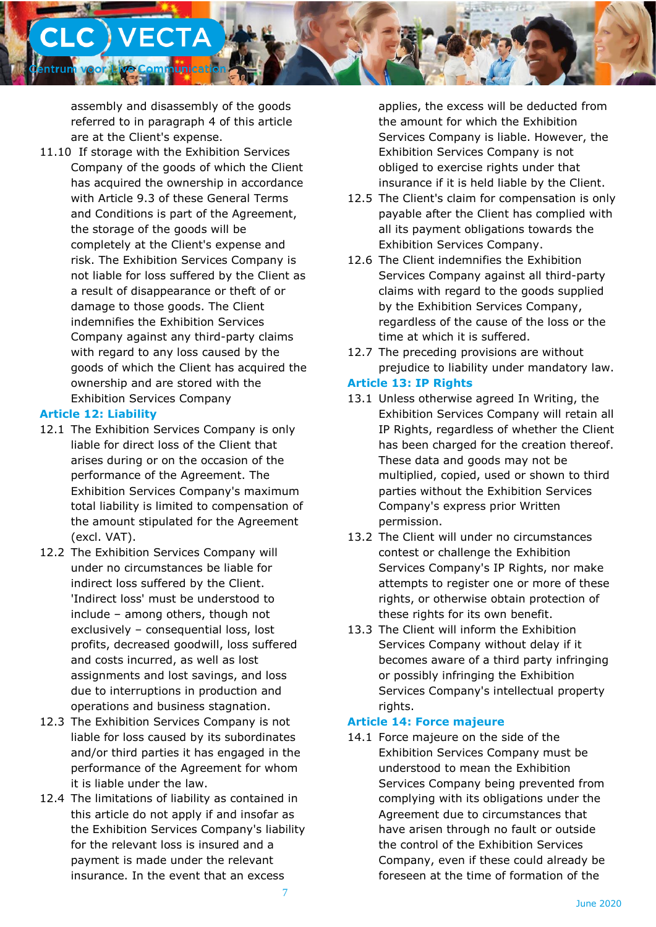**C** ) VECTA hunicati

assembly and disassembly of the goods referred to in paragraph 4 of this article are at the Client's expense.

11.10 If storage with the Exhibition Services Company of the goods of which the Client has acquired the ownership in accordance with Article 9.3 of these General Terms and Conditions is part of the Agreement, the storage of the goods will be completely at the Client's expense and risk. The Exhibition Services Company is not liable for loss suffered by the Client as a result of disappearance or theft of or damage to those goods. The Client indemnifies the Exhibition Services Company against any third-party claims with regard to any loss caused by the goods of which the Client has acquired the ownership and are stored with the Exhibition Services Company

### **Article 12: Liability**

- 12.1 The Exhibition Services Company is only liable for direct loss of the Client that arises during or on the occasion of the performance of the Agreement. The Exhibition Services Company's maximum total liability is limited to compensation of the amount stipulated for the Agreement (excl. VAT).
- 12.2 The Exhibition Services Company will under no circumstances be liable for indirect loss suffered by the Client. 'Indirect loss' must be understood to include – among others, though not exclusively – consequential loss, lost profits, decreased goodwill, loss suffered and costs incurred, as well as lost assignments and lost savings, and loss due to interruptions in production and operations and business stagnation.
- 12.3 The Exhibition Services Company is not liable for loss caused by its subordinates and/or third parties it has engaged in the performance of the Agreement for whom it is liable under the law.
- 12.4 The limitations of liability as contained in this article do not apply if and insofar as the Exhibition Services Company's liability for the relevant loss is insured and a payment is made under the relevant insurance. In the event that an excess

applies, the excess will be deducted from the amount for which the Exhibition Services Company is liable. However, the Exhibition Services Company is not obliged to exercise rights under that insurance if it is held liable by the Client.

- 12.5 The Client's claim for compensation is only payable after the Client has complied with all its payment obligations towards the Exhibition Services Company.
- 12.6 The Client indemnifies the Exhibition Services Company against all third-party claims with regard to the goods supplied by the Exhibition Services Company, regardless of the cause of the loss or the time at which it is suffered.
- 12.7 The preceding provisions are without prejudice to liability under mandatory law.

# **Article 13: IP Rights**

- 13.1 Unless otherwise agreed In Writing, the Exhibition Services Company will retain all IP Rights, regardless of whether the Client has been charged for the creation thereof. These data and goods may not be multiplied, copied, used or shown to third parties without the Exhibition Services Company's express prior Written permission.
- 13.2 The Client will under no circumstances contest or challenge the Exhibition Services Company's IP Rights, nor make attempts to register one or more of these rights, or otherwise obtain protection of these rights for its own benefit.
- 13.3 The Client will inform the Exhibition Services Company without delay if it becomes aware of a third party infringing or possibly infringing the Exhibition Services Company's intellectual property rights.

# **Article 14: Force majeure**

14.1 Force majeure on the side of the Exhibition Services Company must be understood to mean the Exhibition Services Company being prevented from complying with its obligations under the Agreement due to circumstances that have arisen through no fault or outside the control of the Exhibition Services Company, even if these could already be foreseen at the time of formation of the